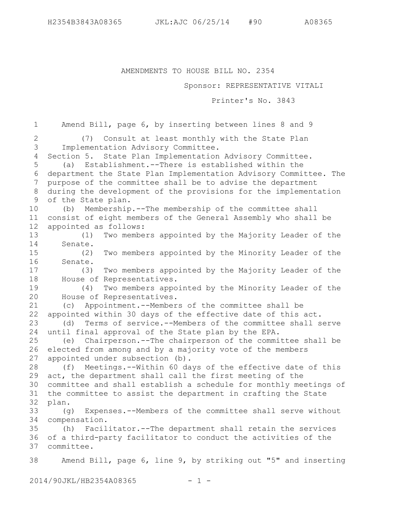AMENDMENTS TO HOUSE BILL NO. 2354

Sponsor: REPRESENTATIVE VITALI

Printer's No. 3843

Amend Bill, page 6, by inserting between lines 8 and 9 (7) Consult at least monthly with the State Plan Implementation Advisory Committee. 4 Section 5. State Plan Implementation Advisory Committee. (a) Establishment.--There is established within the 6 department the State Plan Implementation Advisory Committee. The purpose of the committee shall be to advise the department during the development of the provisions for the implementation of the State plan. (b) Membership.--The membership of the committee shall consist of eight members of the General Assembly who shall be 11 appointed as follows: (1) Two members appointed by the Majority Leader of the Senate. (2) Two members appointed by the Minority Leader of the Senate. (3) Two members appointed by the Majority Leader of the House of Representatives. (4) Two members appointed by the Minority Leader of the House of Representatives. (c) Appointment.--Members of the committee shall be appointed within 30 days of the effective date of this act. (d) Terms of service.--Members of the committee shall serve until final approval of the State plan by the EPA. (e) Chairperson.--The chairperson of the committee shall be 26 elected from among and by a majority vote of the members appointed under subsection (b). (f) Meetings.--Within 60 days of the effective date of this act, the department shall call the first meeting of the committee and shall establish a schedule for monthly meetings of the committee to assist the department in crafting the State plan. (g) Expenses.--Members of the committee shall serve without compensation. (h) Facilitator.--The department shall retain the services of a third-party facilitator to conduct the activities of the committee. 37 Amend Bill, page 6, line 9, by striking out "5" and inserting 1 2 3 5 7 8 9 10 12 13 14 15 16 17 18 19 20 21 22 23 24 25 27 28 29 30 31 32 33 34 35 36 38